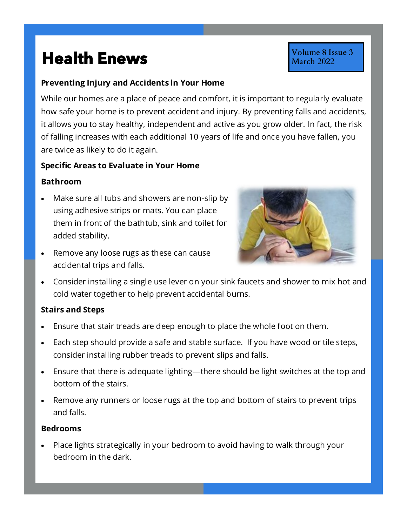# **Health Enews Health Enews**

# **Preventing Injury and Accidents in Your Home**

While our homes are a place of peace and comfort, it is important to regularly evaluate how safe your home is to prevent accident and injury. By preventing falls and accidents, it allows you to stay healthy, independent and active as you grow older. In fact, the risk of falling increases with each additional 10 years of life and once you have fallen, you are twice as likely to do it again.

#### **Specific Areas to Evaluate in Your Home**

## **Bathroom**

- Make sure all tubs and showers are non-slip by using adhesive strips or mats. You can place them in front of the bathtub, sink and toilet for added stability.
- Remove any loose rugs as these can cause accidental trips and falls.



Volume 8 Issue 3 March 2022

• Consider installing a single use lever on your sink faucets and shower to mix hot and cold water together to help prevent accidental burns.

#### **Stairs and Steps**

- Ensure that stair treads are deep enough to place the whole foot on them.
- Each step should provide a safe and stable surface. If you have wood or tile steps, consider installing rubber treads to prevent slips and falls.
- Ensure that there is adequate lighting—there should be light switches at the top and bottom of the stairs.
- Remove any runners or loose rugs at the top and bottom of stairs to prevent trips and falls.

#### **Bedrooms**

• Place lights strategically in your bedroom to avoid having to walk through your bedroom in the dark.